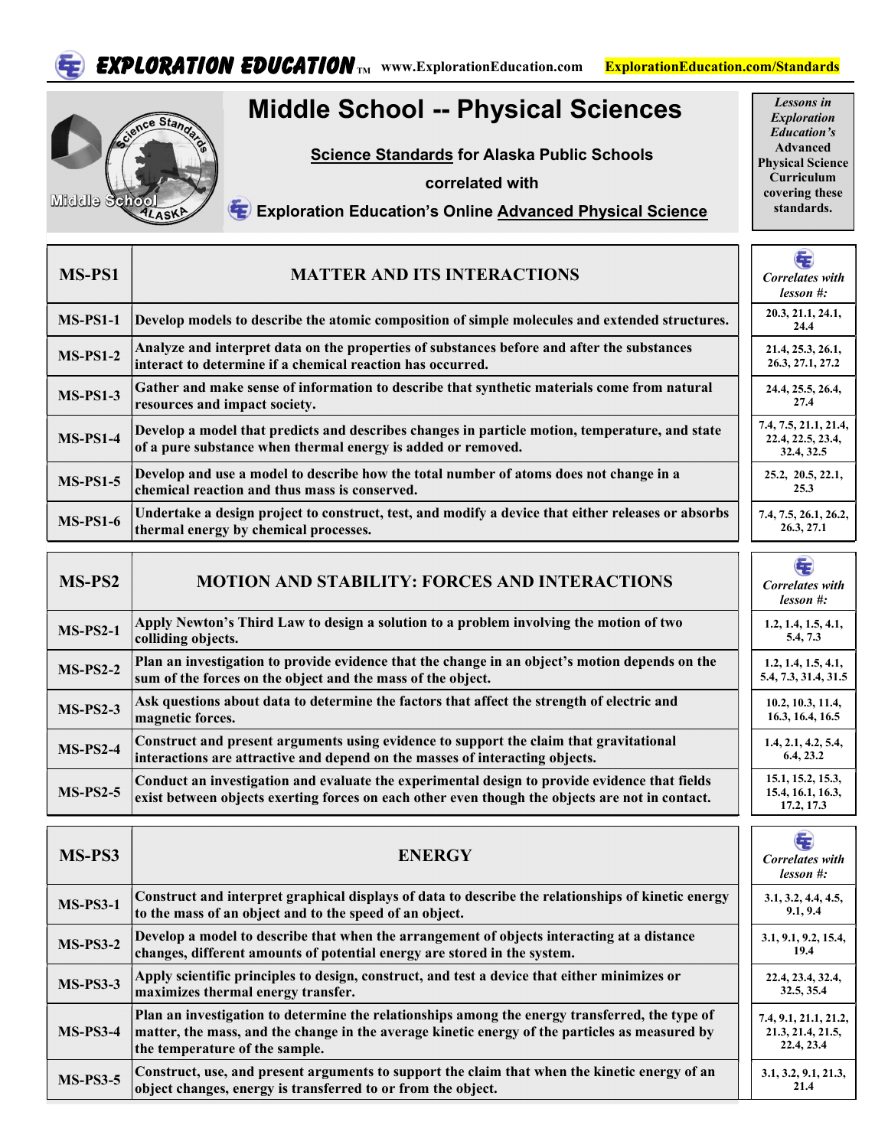

EXPLORATION EDUCATION TM WWW.ExplorationEducation.com ExplorationEducation.com/Standards

## Middle School -- Physical Sciences



Science Standards for Alaska Public Schools

correlated with

Lessons in Exploration Education's Advanced Physical Science Curriculum covering these standards.

## Exploration Education's Online Advanced Physical Science

| MS-PS1          | <b>MATTER AND ITS INTERACTIONS</b>                                                                                                                                                               | E<br>Correlates with<br>$less on \#:$                    |  |
|-----------------|--------------------------------------------------------------------------------------------------------------------------------------------------------------------------------------------------|----------------------------------------------------------|--|
| <b>MS-PS1-1</b> | Develop models to describe the atomic composition of simple molecules and extended structures.                                                                                                   | 20.3, 21.1, 24.1,<br>24.4                                |  |
| <b>MS-PS1-2</b> | Analyze and interpret data on the properties of substances before and after the substances<br>interact to determine if a chemical reaction has occurred.                                         | 21.4, 25.3, 26.1,<br>26.3, 27.1, 27.2                    |  |
| <b>MS-PS1-3</b> | Gather and make sense of information to describe that synthetic materials come from natural<br>resources and impact society.                                                                     | 24.4, 25.5, 26.4,<br>27.4                                |  |
| $MS-PS1-4$      | Develop a model that predicts and describes changes in particle motion, temperature, and state<br>of a pure substance when thermal energy is added or removed.                                   | 7.4, 7.5, 21.1, 21.4,<br>22.4, 22.5, 23.4,<br>32.4, 32.5 |  |
| <b>MS-PS1-5</b> | Develop and use a model to describe how the total number of atoms does not change in a<br>chemical reaction and thus mass is conserved.                                                          | 25.2, 20.5, 22.1,<br>25.3                                |  |
| <b>MS-PS1-6</b> | Undertake a design project to construct, test, and modify a device that either releases or absorbs<br>thermal energy by chemical processes.                                                      | 7.4, 7.5, 26.1, 26.2,<br>26.3, 27.1                      |  |
|                 |                                                                                                                                                                                                  | $\left( \frac{1}{2} \right)$                             |  |
| MS-PS2          | <b>MOTION AND STABILITY: FORCES AND INTERACTIONS</b>                                                                                                                                             | Correlates with<br>$less on \#:$                         |  |
| $MS-PS2-1$      | Apply Newton's Third Law to design a solution to a problem involving the motion of two<br>colliding objects.                                                                                     | 1.2, 1.4, 1.5, 4.1,<br>5.4, 7.3                          |  |
| $MS-PS2-2$      | Plan an investigation to provide evidence that the change in an object's motion depends on the<br>sum of the forces on the object and the mass of the object.                                    | 1, 2, 1, 4, 1, 5, 4, 1,<br>5.4, 7.3, 31.4, 31.5          |  |
| $MS-PS2-3$      | Ask questions about data to determine the factors that affect the strength of electric and<br>magnetic forces.                                                                                   | 10.2, 10.3, 11.4,<br>16.3, 16.4, 16.5                    |  |
| $MS-PS2-4$      | Construct and present arguments using evidence to support the claim that gravitational<br>interactions are attractive and depend on the masses of interacting objects.                           | 1.4, 2.1, 4.2, 5.4,<br>6.4, 23.2                         |  |
| $MS-PS2-5$      | Conduct an investigation and evaluate the experimental design to provide evidence that fields<br>exist between objects exerting forces on each other even though the objects are not in contact. | 15.1, 15.2, 15.3,<br>15.4, 16.1, 16.3,<br>17.2, 17.3     |  |
|                 |                                                                                                                                                                                                  | Œ                                                        |  |
| MS-PS3          | <b>ENERGY</b>                                                                                                                                                                                    | <b>Correlates</b> with<br>lesson #:                      |  |
| <b>MS-PS3-1</b> | Construct and interpret graphical displays of data to describe the relationships of kinetic energy<br>to the mass of an object and to the speed of an object.                                    | 3.1, 3.2, 4.4, 4.5,<br>9.1, 9.4                          |  |
| <b>MS-PS3-2</b> | Develop a model to describe that when the arrangement of objects interacting at a distance<br>changes, different amounts of potential energy are stored in the system.                           | 3.1, 9.1, 9.2, 15.4,<br>19.4                             |  |

| 1110-1100-4     | changes, different amounts of potential energy are stored in the system.                                                                                                                                                           | 19.4                                                     |
|-----------------|------------------------------------------------------------------------------------------------------------------------------------------------------------------------------------------------------------------------------------|----------------------------------------------------------|
| <b>MS-PS3-3</b> | Apply scientific principles to design, construct, and test a device that either minimizes or<br>maximizes thermal energy transfer.                                                                                                 | 22.4, 23.4, 32.4,<br>32.5, 35.4                          |
| $MS-PS3-4$      | Plan an investigation to determine the relationships among the energy transferred, the type of<br>matter, the mass, and the change in the average kinetic energy of the particles as measured by<br>the temperature of the sample. | 7.4, 9.1, 21.1, 21.2,<br>21.3, 21.4, 21.5,<br>22.4, 23.4 |
| <b>MS-PS3-5</b> | Construct, use, and present arguments to support the claim that when the kinetic energy of an<br>object changes, energy is transferred to or from the object.                                                                      | 3.1, 3.2, 9.1, 21.3,<br>21.4                             |